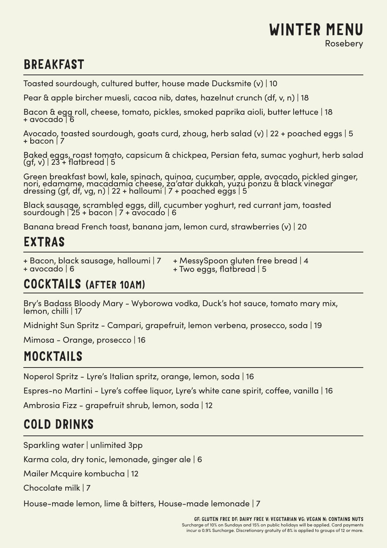#### WINTER MENU Rosebery

# **BREAKFAST**

Toasted sourdough, cultured butter, house made Ducksmite (v) | 10

Pear & apple bircher muesli, cacoa nib, dates, hazelnut crunch (df, v, n) | 18

Bacon & egg roll, cheese, tomato, pickles, smoked paprika aioli, butter lettuce | 18 + avocado | 6

Avocado, toasted sourdough, goats curd, zhoug, herb salad (v) | 22 + poached eggs | 5  $+$  bacon  $\overline{7}$ 

Baked eggs, roast tomato, capsicum & chickpea, Persian feta, sumac yoghurt, herb salad (gf, v) | 23 + flatbread | 5

Green breakfast bowl, kale, spinach, quinoa, cucumber, apple, avocado, pickled ginger, nori, edamame, macadamia cheese, za'atar dukkah, yuzu ponzu & black vinegar dressing (gf, df, vg, n) | 22 + halloumi | 7 + poached eggs | 5

Black sausage, scrambled eggs, dill, cucumber yoghurt, red currant jam, toasted sourdough | 25 + bacon | 7 + avocado | 6

Banana bread French toast, banana jam, lemon curd, strawberries (v) | 20

#### EXTRAS

+ Bacon, black sausage, halloumi | 7

+ MessySpoon gluten free bread | 4 + Two eggs, flatbread | 5

#### COCKTAILS (AFTER 10AM)

Bry's Badass Bloody Mary - Wyborowa vodka, Duck's hot sauce, tomato mary mix, lemon, chilli | 17

Midnight Sun Spritz - Campari, grapefruit, lemon verbena, prosecco, soda | 19

Mimosa - Orange, prosecco | 16

#### MOCKTAILS

Noperol Spritz - Lyre's Italian spritz, orange, lemon, soda | 16

Espres-no Martini - Lyre's coffee liquor, Lyre's white cane spirit, coffee, vanilla | 16

Ambrosia Fizz - grapefruit shrub, lemon, soda | 12

### COLD DRINKS

Sparkling water | unlimited 3pp

Karma cola, dry tonic, lemonade, ginger ale | 6

Mailer Mcquire kombucha | 12

Chocolate milk | 7

House-made lemon, lime & bitters, House-made lemonade | 7